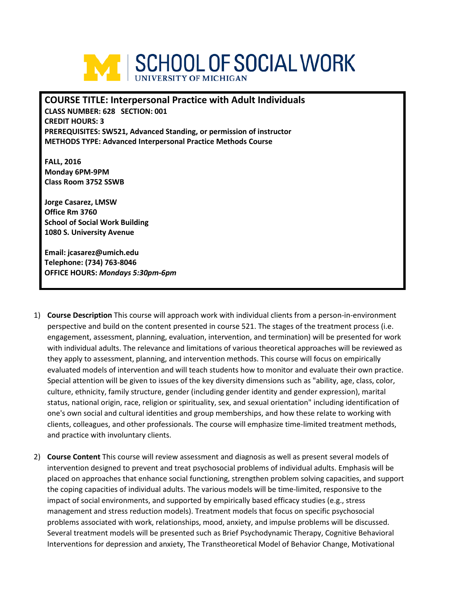

# **COURSE TITLE: Interpersonal Practice with Adult Individuals**

**CLASS NUMBER: 628 SECTION: 001 CREDIT HOURS: 3 PREREQUISITES: SW521, Advanced Standing, or permission of instructor METHODS TYPE: Advanced Interpersonal Practice Methods Course** 

**FALL, 2016 Monday 6PM-9PM Class Room 3752 SSWB** 

**Jorge Casarez, LMSW Office Rm 3760 School of Social Work Building 1080 S. University Avenue**

**Email: jcasarez@umich.edu Telephone: (734) 763-8046 OFFICE HOURS:** *Mondays 5:30pm-6pm* 

- 1) **Course Description** This course will approach work with individual clients from a person-in-environment perspective and build on the content presented in course 521. The stages of the treatment process (i.e. engagement, assessment, planning, evaluation, intervention, and termination) will be presented for work with individual adults. The relevance and limitations of various theoretical approaches will be reviewed as they apply to assessment, planning, and intervention methods. This course will focus on empirically evaluated models of intervention and will teach students how to monitor and evaluate their own practice. Special attention will be given to issues of the key diversity dimensions such as "ability, age, class, color, culture, ethnicity, family structure, gender (including gender identity and gender expression), marital status, national origin, race, religion or spirituality, sex, and sexual orientation" including identification of one's own social and cultural identities and group memberships, and how these relate to working with clients, colleagues, and other professionals. The course will emphasize time-limited treatment methods, and practice with involuntary clients.
- 2) **Course Content** This course will review assessment and diagnosis as well as present several models of intervention designed to prevent and treat psychosocial problems of individual adults. Emphasis will be placed on approaches that enhance social functioning, strengthen problem solving capacities, and support the coping capacities of individual adults. The various models will be time-limited, responsive to the impact of social environments, and supported by empirically based efficacy studies (e.g., stress management and stress reduction models). Treatment models that focus on specific psychosocial problems associated with work, relationships, mood, anxiety, and impulse problems will be discussed. Several treatment models will be presented such as Brief Psychodynamic Therapy, Cognitive Behavioral Interventions for depression and anxiety, The Transtheoretical Model of Behavior Change, Motivational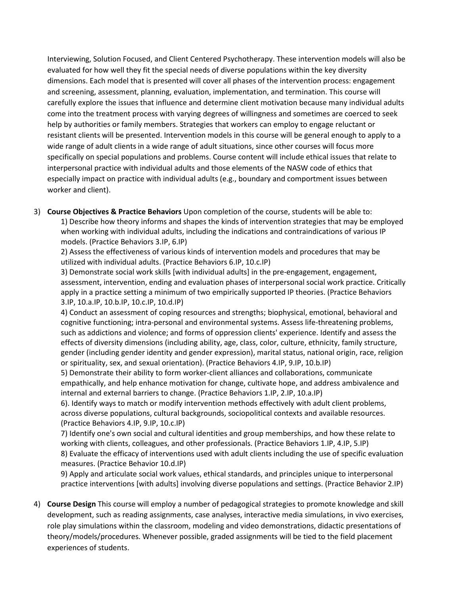Interviewing, Solution Focused, and Client Centered Psychotherapy. These intervention models will also be evaluated for how well they fit the special needs of diverse populations within the key diversity dimensions. Each model that is presented will cover all phases of the intervention process: engagement and screening, assessment, planning, evaluation, implementation, and termination. This course will carefully explore the issues that influence and determine client motivation because many individual adults come into the treatment process with varying degrees of willingness and sometimes are coerced to seek help by authorities or family members. Strategies that workers can employ to engage reluctant or resistant clients will be presented. Intervention models in this course will be general enough to apply to a wide range of adult clients in a wide range of adult situations, since other courses will focus more specifically on special populations and problems. Course content will include ethical issues that relate to interpersonal practice with individual adults and those elements of the NASW code of ethics that especially impact on practice with individual adults (e.g., boundary and comportment issues between worker and client).

3) **Course Objectives & Practice Behaviors** Upon completion of the course, students will be able to: 1) Describe how theory informs and shapes the kinds of intervention strategies that may be employed when working with individual adults, including the indications and contraindications of various IP models. (Practice Behaviors 3.IP, 6.IP)

2) Assess the effectiveness of various kinds of intervention models and procedures that may be utilized with individual adults. (Practice Behaviors 6.IP, 10.c.IP)

3) Demonstrate social work skills [with individual adults] in the pre-engagement, engagement, assessment, intervention, ending and evaluation phases of interpersonal social work practice. Critically apply in a practice setting a minimum of two empirically supported IP theories. (Practice Behaviors 3.IP, 10.a.IP, 10.b.IP, 10.c.IP, 10.d.IP)

4) Conduct an assessment of coping resources and strengths; biophysical, emotional, behavioral and cognitive functioning; intra-personal and environmental systems. Assess life-threatening problems, such as addictions and violence; and forms of oppression clients' experience. Identify and assess the effects of diversity dimensions (including ability, age, class, color, culture, ethnicity, family structure, gender (including gender identity and gender expression), marital status, national origin, race, religion or spirituality, sex, and sexual orientation). (Practice Behaviors 4.IP, 9.IP, 10.b.IP)

5) Demonstrate their ability to form worker-client alliances and collaborations, communicate empathically, and help enhance motivation for change, cultivate hope, and address ambivalence and internal and external barriers to change. (Practice Behaviors 1.IP, 2.IP, 10.a.IP)

6). Identify ways to match or modify intervention methods effectively with adult client problems, across diverse populations, cultural backgrounds, sociopolitical contexts and available resources. (Practice Behaviors 4.IP, 9.IP, 10.c.IP)

7) Identify one's own social and cultural identities and group memberships, and how these relate to working with clients, colleagues, and other professionals. (Practice Behaviors 1.IP, 4.IP, 5.IP) 8) Evaluate the efficacy of interventions used with adult clients including the use of specific evaluation measures. (Practice Behavior 10.d.IP)

9) Apply and articulate social work values, ethical standards, and principles unique to interpersonal practice interventions [with adults] involving diverse populations and settings. (Practice Behavior 2.IP)

4) **Course Design** This course will employ a number of pedagogical strategies to promote knowledge and skill development, such as reading assignments, case analyses, interactive media simulations, in vivo exercises, role play simulations within the classroom, modeling and video demonstrations, didactic presentations of theory/models/procedures. Whenever possible, graded assignments will be tied to the field placement experiences of students.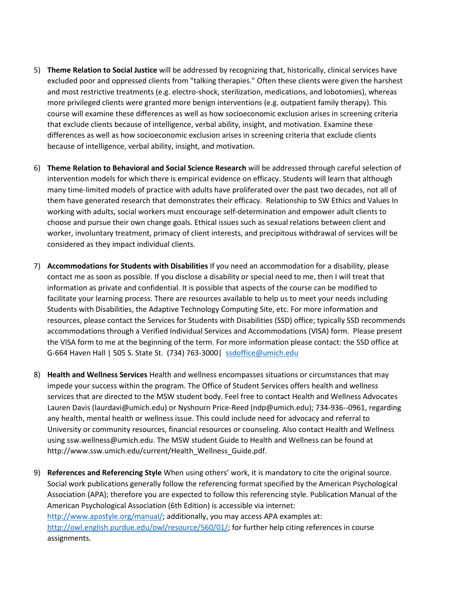- 5) **Theme Relation to Social Justice** will be addressed by recognizing that, historically, clinical services have excluded poor and oppressed clients from "talking therapies." Often these clients were given the harshest and most restrictive treatments (e.g. electro-shock, sterilization, medications, and lobotomies), whereas more privileged clients were granted more benign interventions (e.g. outpatient family therapy). This course will examine these differences as well as how socioeconomic exclusion arises in screening criteria that exclude clients because of intelligence, verbal ability, insight, and motivation. Examine these differences as well as how socioeconomic exclusion arises in screening criteria that exclude clients because of intelligence, verbal ability, insight, and motivation.
- 6) **Theme Relation to Behavioral and Social Science Research** will be addressed through careful selection of intervention models for which there is empirical evidence on efficacy. Students will learn that although many time-limited models of practice with adults have proliferated over the past two decades, not all of them have generated research that demonstrates their efficacy. Relationship to SW Ethics and Values In working with adults, social workers must encourage self-determination and empower adult clients to choose and pursue their own change goals. Ethical issues such as sexual relations between client and worker, involuntary treatment, primacy of client interests, and precipitous withdrawal of services will be considered as they impact individual clients.
- 7) **Accommodations for Students with Disabilities** If you need an accommodation for a disability, please contact me as soon as possible. If you disclose a disability or special need to me, then I will treat that information as private and confidential. It is possible that aspects of the course can be modified to facilitate your learning process. There are resources available to help us to meet your needs including Students with Disabilities, the Adaptive Technology Computing Site, etc. For more information and resources, please contact the Services for Students with Disabilities (SSD) office; typically SSD recommends accommodations through a Verified Individual Services and Accommodations (VISA) form. Please present the VISA form to me at the beginning of the term. For more information please contact: the SSD office at G-664 Haven Hall | 505 S. State St. (734) 763-3000| [ssdoffice@umich.edu](mailto:ssdoffice@umich.edu)
- 8) **Health and Wellness Services** Health and wellness encompasses situations or circumstances that may impede your success within the program. The Office of Student Services offers health and wellness services that are directed to the MSW student body. Feel free to contact Health and Wellness Advocates Lauren Davis (laurdavi@umich.edu) or Nyshourn Price-Reed (ndp@umich.edu); 734-936--0961, regarding any health, mental health or wellness issue. This could include need for advocacy and referral to University or community resources, financial resources or counseling. Also contact Health and Wellness using ssw.wellness@umich.edu. The MSW student Guide to Health and Wellness can be found at http://www.ssw.umich.edu/current/Health\_Wellness\_Guide.pdf.
- 9) **References and Referencing Style** When using others' work, it is mandatory to cite the original source. Social work publications generally follow the referencing format specified by the American Psychological Association (APA); therefore you are expected to follow this referencing style. Publication Manual of the American Psychological Association (6th Edition) is accessible via internet: [http://www.apastyle.org/manual/;](http://www.apastyle.org/manual/) additionally, you may access APA examples at: [http://owl.english.purdue.edu/owl/resource/560/01/;](http://owl.english.purdue.edu/owl/resource/560/01/) for further help citing references in course assignments.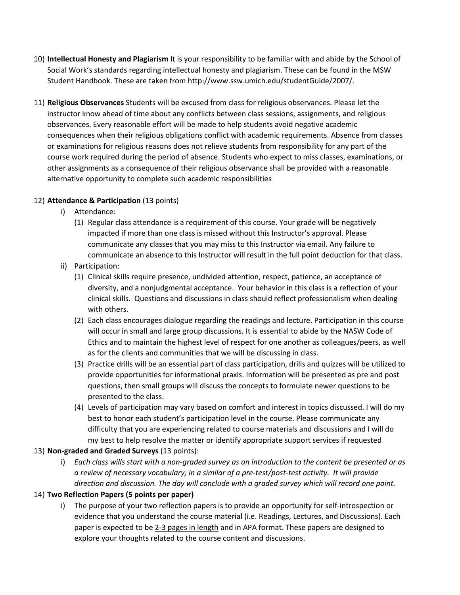- 10) **Intellectual Honesty and Plagiarism** It is your responsibility to be familiar with and abide by the School of Social Work's standards regarding intellectual honesty and plagiarism. These can be found in the MSW Student Handbook. These are taken from http://www.ssw.umich.edu/studentGuide/2007/.
- 11) **Religious Observances** Students will be excused from class for religious observances. Please let the instructor know ahead of time about any conflicts between class sessions, assignments, and religious observances. Every reasonable effort will be made to help students avoid negative academic consequences when their religious obligations conflict with academic requirements. Absence from classes or examinations for religious reasons does not relieve students from responsibility for any part of the course work required during the period of absence. Students who expect to miss classes, examinations, or other assignments as a consequence of their religious observance shall be provided with a reasonable alternative opportunity to complete such academic responsibilities

# 12) **Attendance & Participation** (13 points)

- i) Attendance:
	- (1) Regular class attendance is a requirement of this course. Your grade will be negatively impacted if more than one class is missed without this Instructor's approval. Please communicate any classes that you may miss to this Instructor via email. Any failure to communicate an absence to this Instructor will result in the full point deduction for that class.
- ii) Participation:
	- (1) Clinical skills require presence, undivided attention, respect, patience, an acceptance of diversity, and a nonjudgmental acceptance. Your behavior in this class is a reflection of your clinical skills. Questions and discussions in class should reflect professionalism when dealing with others.
	- (2) Each class encourages dialogue regarding the readings and lecture. Participation in this course will occur in small and large group discussions. It is essential to abide by the NASW Code of Ethics and to maintain the highest level of respect for one another as colleagues/peers, as well as for the clients and communities that we will be discussing in class.
	- (3) Practice drills will be an essential part of class participation, drills and quizzes will be utilized to provide opportunities for informational praxis. Information will be presented as pre and post questions, then small groups will discuss the concepts to formulate newer questions to be presented to the class.
	- (4) Levels of participation may vary based on comfort and interest in topics discussed. I will do my best to honor each student's participation level in the course. Please communicate any difficulty that you are experiencing related to course materials and discussions and I will do my best to help resolve the matter or identify appropriate support services if requested

### 13) **Non-graded and Graded Surveys** (13 points):

i) *Each class wills start with a non-graded survey as an introduction to the content be presented or as a review of necessary vocabulary; in a similar of a pre-test/post-test activity. It will provide direction and discussion. The day will conclude with a graded survey which will record one point.* 

# 14) **Two Reflection Papers (5 points per paper)**

i) The purpose of your two reflection papers is to provide an opportunity for self-introspection or evidence that you understand the course material (i.e. Readings, Lectures, and Discussions). Each paper is expected to be 2-3 pages in length and in APA format. These papers are designed to explore your thoughts related to the course content and discussions.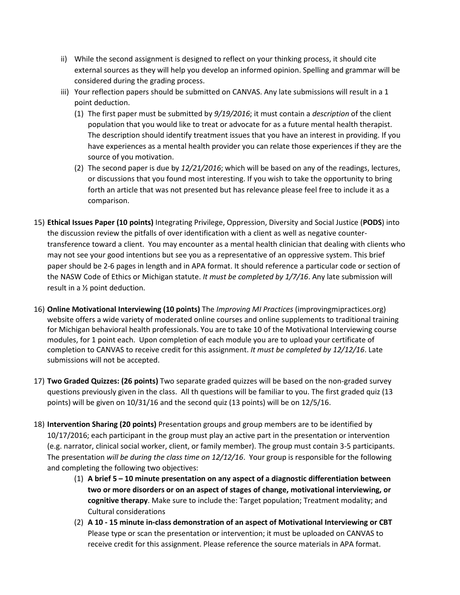- ii) While the second assignment is designed to reflect on your thinking process, it should cite external sources as they will help you develop an informed opinion. Spelling and grammar will be considered during the grading process.
- iii) Your reflection papers should be submitted on CANVAS. Any late submissions will result in a 1 point deduction.
	- (1) The first paper must be submitted by *9/19/2016*; it must contain a *description* of the client population that you would like to treat or advocate for as a future mental health therapist. The description should identify treatment issues that you have an interest in providing. If you have experiences as a mental health provider you can relate those experiences if they are the source of you motivation.
	- (2) The second paper is due by *12/21/2016*; which will be based on any of the readings, lectures, or discussions that you found most interesting. If you wish to take the opportunity to bring forth an article that was not presented but has relevance please feel free to include it as a comparison.
- 15) **Ethical Issues Paper (10 points)** Integrating Privilege, Oppression, Diversity and Social Justice (**PODS**) into the discussion review the pitfalls of over identification with a client as well as negative countertransference toward a client. You may encounter as a mental health clinician that dealing with clients who may not see your good intentions but see you as a representative of an oppressive system. This brief paper should be 2-6 pages in length and in APA format. It should reference a particular code or section of the NASW Code of Ethics or Michigan statute. *It must be completed by 1/7/16*. Any late submission will result in a ½ point deduction.
- 16) **Online Motivational Interviewing (10 points)** The *Improving MI Practices* (improvingmipractices.org) website offers a wide variety of moderated online courses and online supplements to traditional training for Michigan behavioral health professionals. You are to take 10 of the Motivational Interviewing course modules, for 1 point each. Upon completion of each module you are to upload your certificate of completion to CANVAS to receive credit for this assignment. *It must be completed by 12/12/16*. Late submissions will not be accepted.
- 17) **Two Graded Quizzes: (26 points)** Two separate graded quizzes will be based on the non-graded survey questions previously given in the class. All th questions will be familiar to you. The first graded quiz (13 points) will be given on 10/31/16 and the second quiz (13 points) will be on 12/5/16.
- 18) **Intervention Sharing (20 points)** Presentation groups and group members are to be identified by 10/17/2016; each participant in the group must play an active part in the presentation or intervention (e.g. narrator, clinical social worker, client, or family member). The group must contain 3-5 participants. The presentation *will be during the class time on 12/12/16*. Your group is responsible for the following and completing the following two objectives:
	- (1) **A brief 5 – 10 minute presentation on any aspect of a diagnostic differentiation between two or more disorders or on an aspect of stages of change, motivational interviewing, or cognitive therapy**. Make sure to include the: Target population; Treatment modality; and Cultural considerations
	- (2) **A 10 - 15 minute in-class demonstration of an aspect of Motivational Interviewing or CBT** Please type or scan the presentation or intervention; it must be uploaded on CANVAS to receive credit for this assignment. Please reference the source materials in APA format.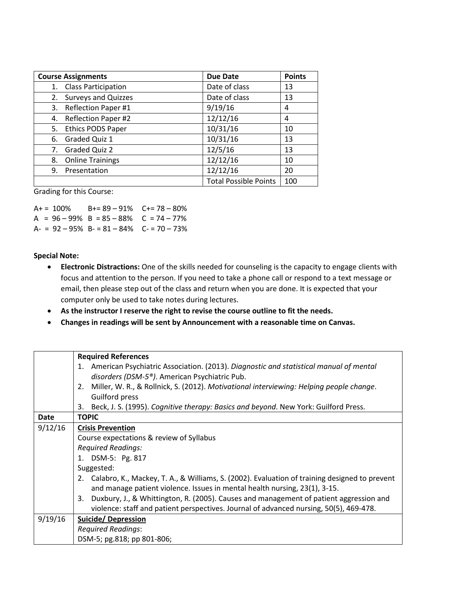| <b>Course Assignments</b>        | <b>Due Date</b>              | <b>Points</b> |
|----------------------------------|------------------------------|---------------|
| <b>Class Participation</b><br>1. | Date of class                | 13            |
| 2. Surveys and Quizzes           | Date of class                | 13            |
| <b>Reflection Paper #1</b><br>3. | 9/19/16                      | 4             |
| <b>Reflection Paper #2</b><br>4. | 12/12/16                     | 4             |
| <b>Ethics PODS Paper</b><br>5.   | 10/31/16                     | 10            |
| Graded Quiz 1<br>6.              | 10/31/16                     | 13            |
| 7. Graded Quiz 2                 | 12/5/16                      | 13            |
| <b>Online Trainings</b><br>8.    | 12/12/16                     | 10            |
| Presentation<br>9.               | 12/12/16                     | 20            |
|                                  | <b>Total Possible Points</b> | 100           |

Grading for this Course:

 $A+=100\%$  B+= 89 – 91% C+= 78 – 80% A =  $96 - 99\%$  B =  $85 - 88\%$  C =  $74 - 77\%$  $A = 92 - 95\% B = 81 - 84\% C = 70 - 73\%$ 

#### **Special Note:**

- **Electronic Distractions:** One of the skills needed for counseling is the capacity to engage clients with focus and attention to the person. If you need to take a phone call or respond to a text message or email, then please step out of the class and return when you are done. It is expected that your computer only be used to take notes during lectures.
- **As the instructor I reserve the right to revise the course outline to fit the needs.**
- **Changes in readings will be sent by Announcement with a reasonable time on Canvas.**

|             | <b>Required References</b>                                                                       |
|-------------|--------------------------------------------------------------------------------------------------|
|             | 1. American Psychiatric Association. (2013). Diagnostic and statistical manual of mental         |
|             | disorders (DSM-5 <sup>®</sup> ). American Psychiatric Pub.                                       |
|             | Miller, W. R., & Rollnick, S. (2012). Motivational interviewing: Helping people change.<br>2.    |
|             | Guilford press                                                                                   |
|             | Beck, J. S. (1995). Cognitive therapy: Basics and beyond. New York: Guilford Press.<br>3.        |
| <b>Date</b> | <b>TOPIC</b>                                                                                     |
| 9/12/16     | <b>Crisis Prevention</b>                                                                         |
|             | Course expectations & review of Syllabus                                                         |
|             | <b>Required Readings:</b>                                                                        |
|             | 1. DSM-5: Pg. 817                                                                                |
|             | Suggested:                                                                                       |
|             | 2. Calabro, K., Mackey, T. A., & Williams, S. (2002). Evaluation of training designed to prevent |
|             | and manage patient violence. Issues in mental health nursing, 23(1), 3-15.                       |
|             | Duxbury, J., & Whittington, R. (2005). Causes and management of patient aggression and<br>3.     |
|             | violence: staff and patient perspectives. Journal of advanced nursing, 50(5), 469-478.           |
| 9/19/16     | <b>Suicide/ Depression</b>                                                                       |
|             | <b>Required Readings:</b>                                                                        |
|             | DSM-5; pg.818; pp 801-806;                                                                       |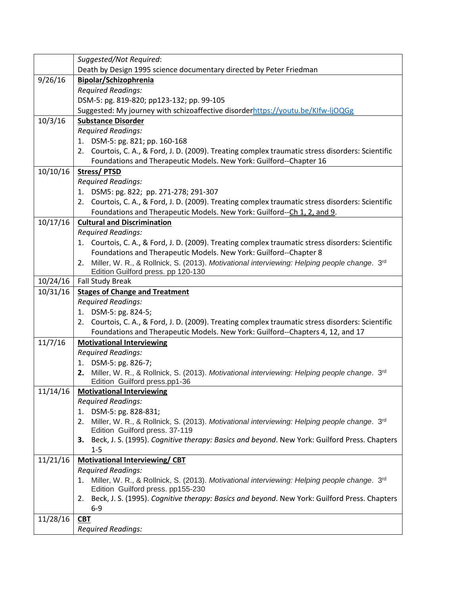|          | Suggested/Not Required:                                                                                                                 |  |
|----------|-----------------------------------------------------------------------------------------------------------------------------------------|--|
|          | Death by Design 1995 science documentary directed by Peter Friedman                                                                     |  |
| 9/26/16  | Bipolar/Schizophrenia                                                                                                                   |  |
|          | <b>Required Readings:</b>                                                                                                               |  |
|          | DSM-5: pg. 819-820; pp123-132; pp. 99-105                                                                                               |  |
|          | Suggested: My journey with schizoaffective disorderhttps://youtu.be/KIfw-IjOQGg                                                         |  |
| 10/3/16  | <b>Substance Disorder</b>                                                                                                               |  |
|          | <b>Required Readings:</b>                                                                                                               |  |
|          | 1. DSM-5: pg. 821; pp. 160-168                                                                                                          |  |
|          | 2. Courtois, C. A., & Ford, J. D. (2009). Treating complex traumatic stress disorders: Scientific                                       |  |
|          | Foundations and Therapeutic Models. New York: Guilford--Chapter 16                                                                      |  |
| 10/10/16 | Stress/PTSD                                                                                                                             |  |
|          | <b>Required Readings:</b>                                                                                                               |  |
|          | 1. DSM5: pg. 822; pp. 271-278; 291-307                                                                                                  |  |
|          | 2. Courtois, C. A., & Ford, J. D. (2009). Treating complex traumatic stress disorders: Scientific                                       |  |
|          | Foundations and Therapeutic Models. New York: Guilford--Ch 1, 2, and 9.                                                                 |  |
| 10/17/16 | <b>Cultural and Discrimination</b>                                                                                                      |  |
|          | <b>Required Readings:</b>                                                                                                               |  |
|          | 1. Courtois, C. A., & Ford, J. D. (2009). Treating complex traumatic stress disorders: Scientific                                       |  |
|          | Foundations and Therapeutic Models. New York: Guilford--Chapter 8                                                                       |  |
|          | Miller, W. R., & Rollnick, S. (2013). Motivational interviewing: Helping people change. 3rd<br>2.                                       |  |
|          | Edition Guilford press. pp 120-130                                                                                                      |  |
| 10/24/16 | <b>Fall Study Break</b>                                                                                                                 |  |
| 10/31/16 | <b>Stages of Change and Treatment</b>                                                                                                   |  |
|          | <b>Required Readings:</b>                                                                                                               |  |
|          | 1. DSM-5: pg. 824-5;<br>Courtois, C. A., & Ford, J. D. (2009). Treating complex traumatic stress disorders: Scientific<br>2.            |  |
|          | Foundations and Therapeutic Models. New York: Guilford--Chapters 4, 12, and 17                                                          |  |
| 11/7/16  | <b>Motivational Interviewing</b>                                                                                                        |  |
|          | <b>Required Readings:</b>                                                                                                               |  |
|          | 1. DSM-5: pg. 826-7;                                                                                                                    |  |
|          | Miller, W. R., & Rollnick, S. (2013). Motivational interviewing: Helping people change. 3 <sup>rd</sup><br>2.                           |  |
|          | Edition Guilford press.pp1-36                                                                                                           |  |
| 11/14/16 | <b>Motivational Interviewing</b>                                                                                                        |  |
|          | <b>Required Readings:</b>                                                                                                               |  |
|          | DSM-5: pg. 828-831;<br>1.                                                                                                               |  |
|          | Miller, W. R., & Rollnick, S. (2013). Motivational interviewing: Helping people change. 3 <sup>rd</sup><br>2.                           |  |
|          | Edition Guilford press. 37-119                                                                                                          |  |
|          | Beck, J. S. (1995). Cognitive therapy: Basics and beyond. New York: Guilford Press. Chapters<br>з.                                      |  |
|          | $1 - 5$                                                                                                                                 |  |
| 11/21/16 | <b>Motivational Interviewing/CBT</b>                                                                                                    |  |
|          | <b>Required Readings:</b>                                                                                                               |  |
|          | Miller, W. R., & Rollnick, S. (2013). Motivational interviewing: Helping people change. 3 <sup>rd</sup><br>1.                           |  |
|          | Edition Guilford press. pp155-230<br>Beck, J. S. (1995). Cognitive therapy: Basics and beyond. New York: Guilford Press. Chapters<br>2. |  |
|          | $6-9$                                                                                                                                   |  |
| 11/28/16 | <b>CBT</b>                                                                                                                              |  |
|          | <b>Required Readings:</b>                                                                                                               |  |
|          |                                                                                                                                         |  |